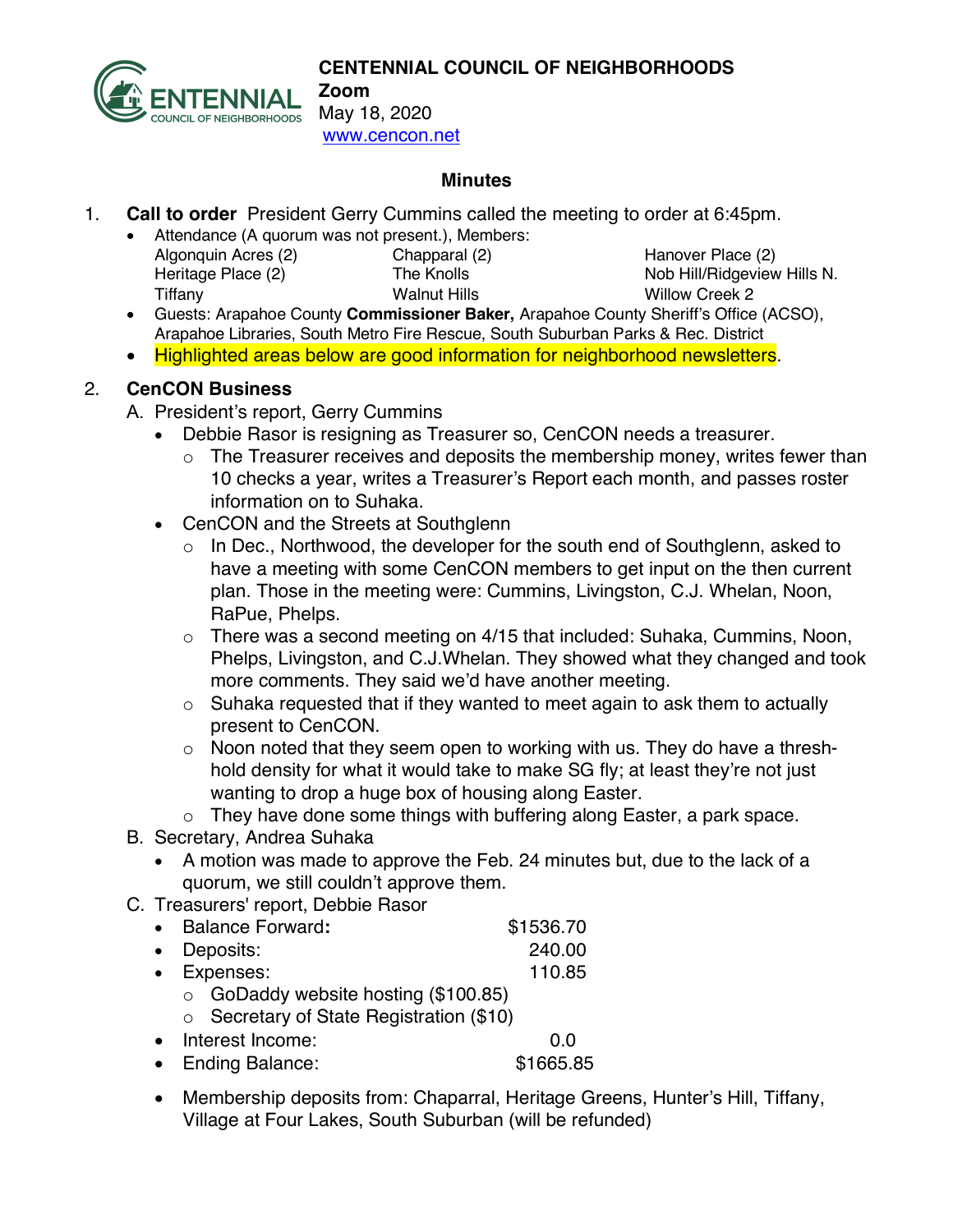

**CENTENNIAL COUNCIL OF NEIGHBORHOODS Zoom**

May 18, 2020 www.cencon.net

#### **Minutes**

- 1. **Call to order** President Gerry Cummins called the meeting to order at 6:45pm.
	- Attendance (A quorum was not present.), Members: Algonquin Acres (2) Chapparal (2) Hanover Place (2) Heritage Place (2) The Knolls Nob Hill/Ridgeview Hills N. Tiffany Walnut Hills Willow Creek 2

- Guests: Arapahoe County **Commissioner Baker,** Arapahoe County Sheriff's Office (ACSO), Arapahoe Libraries, South Metro Fire Rescue, South Suburban Parks & Rec. District
- Highlighted areas below are good information for neighborhood newsletters.

### 2. **CenCON Business**

- A. President's report, Gerry Cummins
	- Debbie Rasor is resigning as Treasurer so, CenCON needs a treasurer.
		- $\circ$  The Treasurer receives and deposits the membership money, writes fewer than 10 checks a year, writes a Treasurer's Report each month, and passes roster information on to Suhaka.
	- CenCON and the Streets at Southglenn
		- o In Dec., Northwood, the developer for the south end of Southglenn, asked to have a meeting with some CenCON members to get input on the then current plan. Those in the meeting were: Cummins, Livingston, C.J. Whelan, Noon, RaPue, Phelps.
		- o There was a second meeting on 4/15 that included: Suhaka, Cummins, Noon, Phelps, Livingston, and C.J.Whelan. They showed what they changed and took more comments. They said we'd have another meeting.
		- o Suhaka requested that if they wanted to meet again to ask them to actually present to CenCON.
		- o Noon noted that they seem open to working with us. They do have a threshhold density for what it would take to make SG fly; at least they're not just wanting to drop a huge box of housing along Easter.
		- o They have done some things with buffering along Easter, a park space.
- B. Secretary, Andrea Suhaka
	- A motion was made to approve the Feb. 24 minutes but, due to the lack of a quorum, we still couldn't approve them.
- C. Treasurers' report, Debbie Rasor
	- Balance Forward: \$1536.70
	- Deposits: 240.00 • Expenses: 110.85
	- o GoDaddy website hosting (\$100.85)
		- o Secretary of State Registration (\$10)
	- Interest Income: 0.0
	- Ending Balance: \$1665.85
	- Membership deposits from: Chaparral, Heritage Greens, Hunter's Hill, Tiffany, Village at Four Lakes, South Suburban (will be refunded)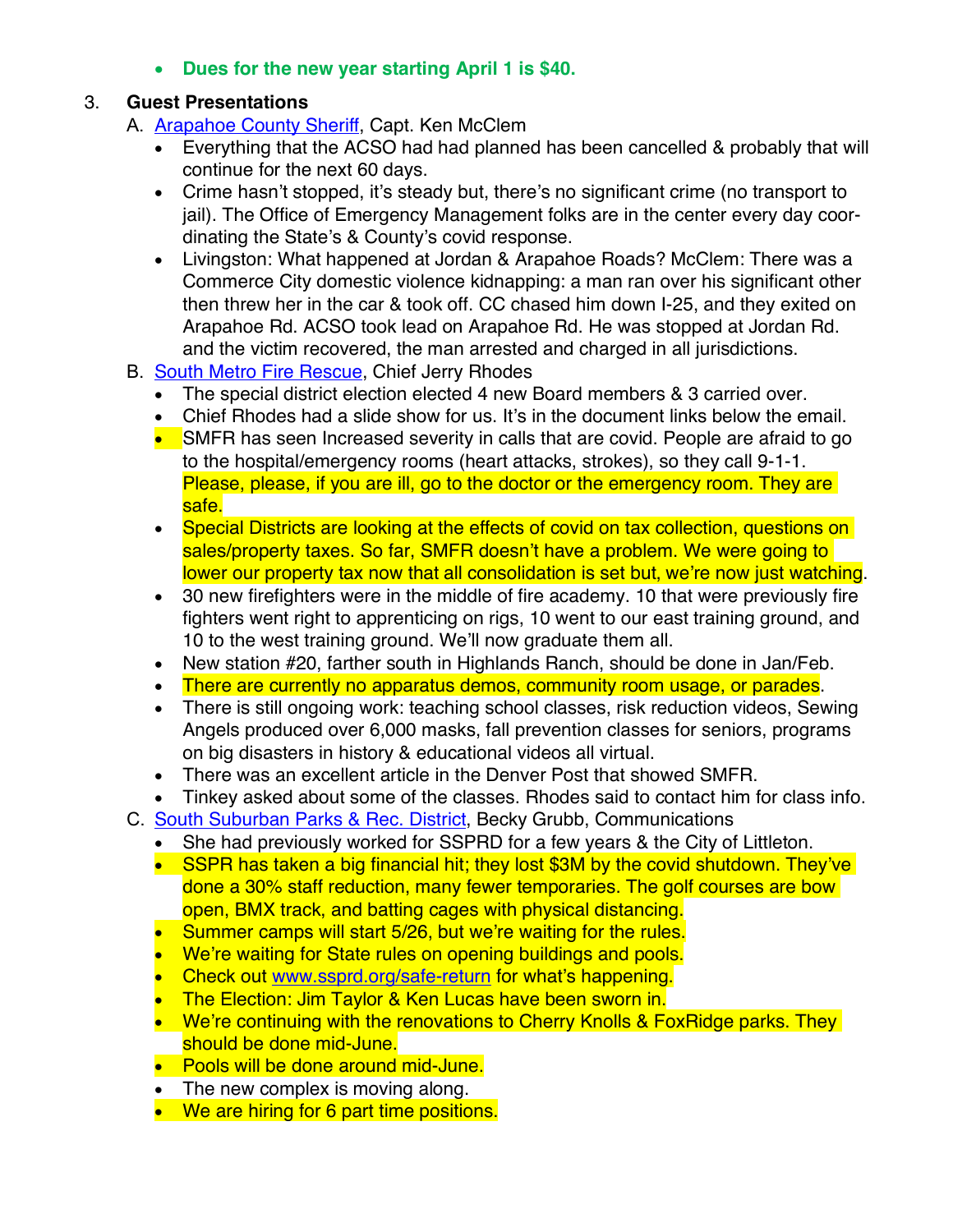• **Dues for the new year starting April 1 is \$40.**

### 3. **Guest Presentations**

- A. [Arapahoe County Sheriff,](http://www.arapahoesheriff.org/) Capt. Ken McClem
	- Everything that the ACSO had had planned has been cancelled & probably that will continue for the next 60 days.
	- Crime hasn't stopped, it's steady but, there's no significant crime (no transport to jail). The Office of Emergency Management folks are in the center every day coordinating the State's & County's covid response.
	- Livingston: What happened at Jordan & Arapahoe Roads? McClem: There was a Commerce City domestic violence kidnapping: a man ran over his significant other then threw her in the car & took off. CC chased him down I-25, and they exited on Arapahoe Rd. ACSO took lead on Arapahoe Rd. He was stopped at Jordan Rd. and the victim recovered, the man arrested and charged in all jurisdictions.
- B. [South Metro Fire](http://www.southmetro.org/) Rescue, Chief Jerry Rhodes
	- The special district election elected 4 new Board members & 3 carried over.
	- Chief Rhodes had a slide show for us. It's in the document links below the email.
	- SMFR has seen Increased severity in calls that are covid. People are afraid to go to the hospital/emergency rooms (heart attacks, strokes), so they call 9-1-1. Please, please, if you are ill, go to the doctor or the emergency room. They are safe.
	- Special Districts are looking at the effects of covid on tax collection, questions on sales/property taxes. So far, SMFR doesn't have a problem. We were going to lower our property tax now that all consolidation is set but, we're now just watching.
	- 30 new firefighters were in the middle of fire academy. 10 that were previously fire fighters went right to apprenticing on rigs, 10 went to our east training ground, and 10 to the west training ground. We'll now graduate them all.
	- New station #20, farther south in Highlands Ranch, should be done in Jan/Feb.
	- There are currently no apparatus demos, community room usage, or parades.
	- There is still ongoing work: teaching school classes, risk reduction videos, Sewing Angels produced over 6,000 masks, fall prevention classes for seniors, programs on big disasters in history & educational videos all virtual.
	- There was an excellent article in the Denver Post that showed SMFR.
	- Tinkey asked about some of the classes. Rhodes said to contact him for class info.
- C. [South Suburban Parks & Rec.](https://www.ssprd.org/) District, Becky Grubb, Communications
	- She had previously worked for SSPRD for a few years & the City of Littleton.
	- SSPR has taken a big financial hit; they lost \$3M by the covid shutdown. They've done a 30% staff reduction, many fewer temporaries. The golf courses are bow open, BMX track, and batting cages with physical distancing.
	- Summer camps will start 5/26, but we're waiting for the rules.
	- We're waiting for State rules on opening buildings and pools.
	- Check out www.ssprd.org/safe-return for what's happening.
	- The Election: Jim Taylor & Ken Lucas have been sworn in.
	- We're continuing with the renovations to Cherry Knolls & FoxRidge parks. They should be done mid-June.
	- Pools will be done around mid-June.
	- The new complex is moving along.
	- We are hiring for 6 part time positions.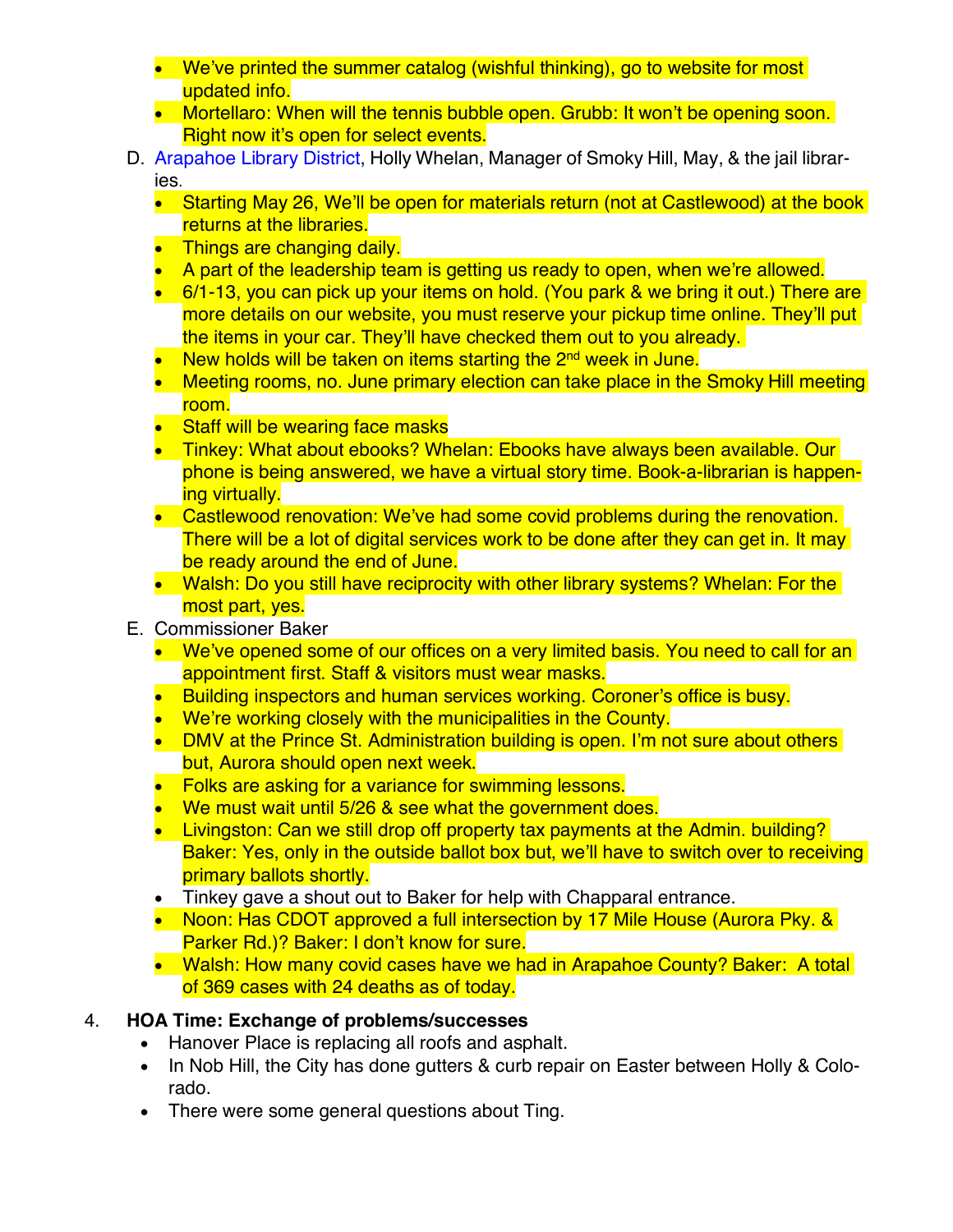- We've printed the summer catalog (wishful thinking), go to website for most updated info.
- Mortellaro: When will the tennis bubble open. Grubb: It won't be opening soon. Right now it's open for select events.
- D. [Arapahoe Library District,](http://www.arapahoelibraries.org/) Holly Whelan, Manager of Smoky Hill, May, & the jail libraries.
	- Starting May 26, We'll be open for materials return (not at Castlewood) at the book returns at the libraries.
	- Things are changing daily.
	- A part of the leadership team is getting us ready to open, when we're allowed.
	- 6/1-13, you can pick up your items on hold. (You park & we bring it out.) There are more details on our website, you must reserve your pickup time online. They'll put the items in your car. They'll have checked them out to you already.
	- New holds will be taken on items starting the 2<sup>nd</sup> week in June.
	- Meeting rooms, no. June primary election can take place in the Smoky Hill meeting room.
	- **Staff will be wearing face masks**
	- Tinkey: What about ebooks? Whelan: Ebooks have always been available. Our phone is being answered, we have a virtual story time. Book-a-librarian is happening virtually.
	- Castlewood renovation: We've had some covid problems during the renovation. There will be a lot of digital services work to be done after they can get in. It may be ready around the end of June.
	- Walsh: Do you still have reciprocity with other library systems? Whelan: For the most part, yes.
- E. Commissioner Baker
	- We've opened some of our offices on a very limited basis. You need to call for an appointment first. Staff & visitors must wear masks.
	- Building inspectors and human services working. Coroner's office is busy.
	- We're working closely with the municipalities in the County.
	- DMV at the Prince St. Administration building is open. I'm not sure about others but, Aurora should open next week.
	- Folks are asking for a variance for swimming lessons.
	- We must wait until 5/26 & see what the government does.
	- Livingston: Can we still drop off property tax payments at the Admin. building? Baker: Yes, only in the outside ballot box but, we'll have to switch over to receiving primary ballots shortly.
	- Tinkey gave a shout out to Baker for help with Chapparal entrance.
	- Noon: Has CDOT approved a full intersection by 17 Mile House (Aurora Pky. & Parker Rd.)? Baker: I don't know for sure.
	- Walsh: How many covid cases have we had in Arapahoe County? Baker: A total of 369 cases with 24 deaths as of today.

# 4. **HOA Time: Exchange of problems/successes**

- Hanover Place is replacing all roofs and asphalt.
- In Nob Hill, the City has done gutters & curb repair on Easter between Holly & Colorado.
- There were some general questions about Ting.